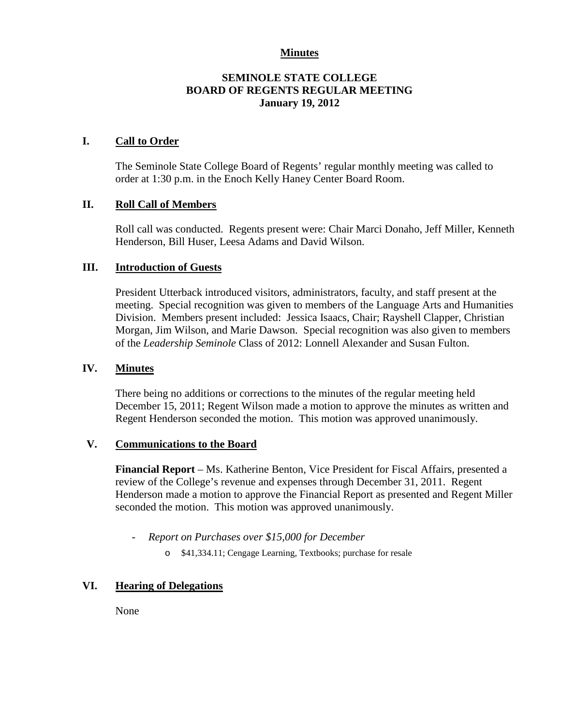#### **Minutes**

# **SEMINOLE STATE COLLEGE BOARD OF REGENTS REGULAR MEETING January 19, 2012**

## **I. Call to Order**

The Seminole State College Board of Regents' regular monthly meeting was called to order at 1:30 p.m. in the Enoch Kelly Haney Center Board Room.

## **II. Roll Call of Members**

Roll call was conducted. Regents present were: Chair Marci Donaho, Jeff Miller, Kenneth Henderson, Bill Huser, Leesa Adams and David Wilson.

## **III. Introduction of Guests**

President Utterback introduced visitors, administrators, faculty, and staff present at the meeting. Special recognition was given to members of the Language Arts and Humanities Division. Members present included: Jessica Isaacs, Chair; Rayshell Clapper, Christian Morgan, Jim Wilson, and Marie Dawson. Special recognition was also given to members of the *Leadership Seminole* Class of 2012: Lonnell Alexander and Susan Fulton.

#### **IV. Minutes**

There being no additions or corrections to the minutes of the regular meeting held December 15, 2011; Regent Wilson made a motion to approve the minutes as written and Regent Henderson seconded the motion. This motion was approved unanimously.

#### **V. Communications to the Board**

**Financial Report** – Ms. Katherine Benton, Vice President for Fiscal Affairs, presented a review of the College's revenue and expenses through December 31, 2011. Regent Henderson made a motion to approve the Financial Report as presented and Regent Miller seconded the motion. This motion was approved unanimously.

- *Report on Purchases over \$15,000 for December*
	- o \$41,334.11; Cengage Learning, Textbooks; purchase for resale

# **VI. Hearing of Delegations**

None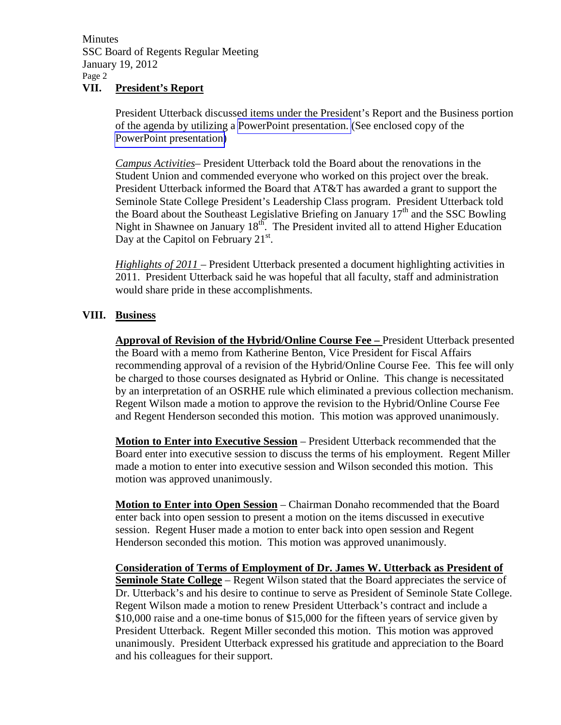**Minutes** SSC Board of Regents Regular Meeting January 19, 2012 Page 2

# **VII. President's Report**

President Utterback discussed items under the President's Report and the Business portion of the agenda by utilizing a PowerPoint presentation. (See enclosed copy of the PowerPoint presentation)

*Campus Activities*– President Utterback told the Board about the renovations in the Student Union and commended everyone who worked on this project over the break. President Utterback informed the Board that AT&T has awarded a grant to support the Seminole State College President's Leadership Class program. President Utterback told the Board about the Southeast Legislative Briefing on January  $17<sup>th</sup>$  and the SSC Bowling Night in Shawnee on January  $18<sup>th</sup>$ . The President invited all to attend Higher Education Day at the Capitol on February  $21^{st}$ .

*Highlights of 2011* – President Utterback presented a document highlighting activities in 2011. President Utterback said he was hopeful that all faculty, staff and administration would share pride in these accomplishments.

# **VIII. Business**

**Approval of Revision of the Hybrid/Online Course Fee –** President Utterback presented the Board with a memo from Katherine Benton, Vice President for Fiscal Affairs recommending approval of a revision of the Hybrid/Online Course Fee. This fee will only be charged to those courses designated as Hybrid or Online. This change is necessitated by an interpretation of an OSRHE rule which eliminated a previous collection mechanism. Regent Wilson made a motion to approve the revision to the Hybrid/Online Course Fee and Regent Henderson seconded this motion. This motion was approved unanimously.

**Motion to Enter into Executive Session** – President Utterback recommended that the Board enter into executive session to discuss the terms of his employment. Regent Miller made a motion to enter into executive session and Wilson seconded this motion. This motion was approved unanimously.

**Motion to Enter into Open Session** – Chairman Donaho recommended that the Board enter back into open session to present a motion on the items discussed in executive session. Regent Huser made a motion to enter back into open session and Regent Henderson seconded this motion. This motion was approved unanimously.

**Consideration of Terms of Employment of Dr. James W. Utterback as President of Seminole State College** – Regent Wilson stated that the Board appreciates the service of Dr. Utterback's and his desire to continue to serve as President of Seminole State College. Regent Wilson made a motion to renew President Utterback's contract and include a \$10,000 raise and a one-time bonus of \$15,000 for the fifteen years of service given by President Utterback. Regent Miller seconded this motion. This motion was approved unanimously. President Utterback expressed his gratitude and appreciation to the Board and his colleagues for their support.